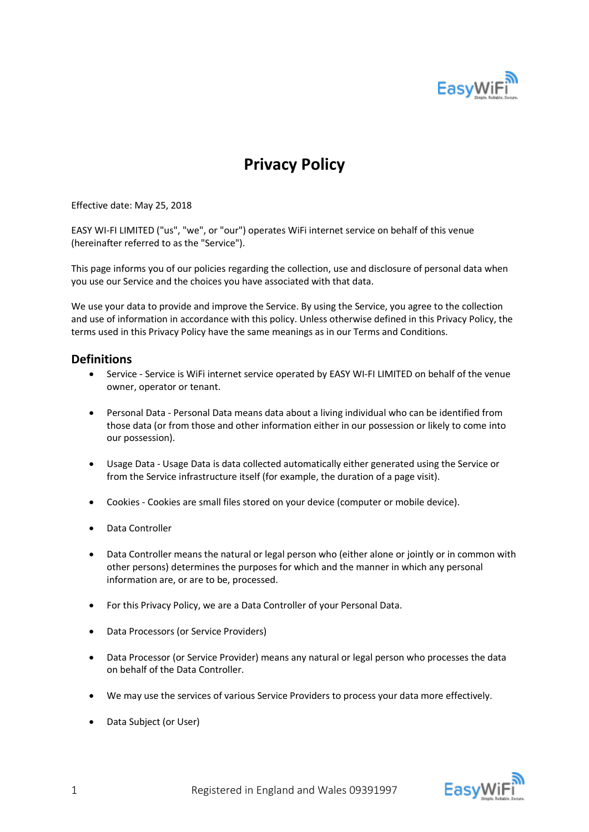

# **Privacy Policy**

Effective date: May 25, 2018

EASY WI-FI LIMITED ("us", "we", or "our") operates WiFi internet service on behalf of this venue (hereinafter referred to as the "Service").

This page informs you of our policies regarding the collection, use and disclosure of personal data when you use our Service and the choices you have associated with that data.

We use your data to provide and improve the Service. By using the Service, you agree to the collection and use of information in accordance with this policy. Unless otherwise defined in this Privacy Policy, the terms used in this Privacy Policy have the same meanings as in our Terms and Conditions.

#### **Definitions**

- Service Service is WiFi internet service operated by EASY WI-FI LIMITED on behalf of the venue owner, operator or tenant.
- Personal Data Personal Data means data about a living individual who can be identified from those data (or from those and other information either in our possession or likely to come into our possession).
- Usage Data Usage Data is data collected automatically either generated using the Service or from the Service infrastructure itself (for example, the duration of a page visit).
- Cookies Cookies are small files stored on your device (computer or mobile device).
- Data Controller
- Data Controller means the natural or legal person who (either alone or jointly or in common with other persons) determines the purposes for which and the manner in which any personal information are, or are to be, processed.
- For this Privacy Policy, we are a Data Controller of your Personal Data.
- Data Processors (or Service Providers)
- Data Processor (or Service Provider) means any natural or legal person who processes the data on behalf of the Data Controller.
- We may use the services of various Service Providers to process your data more effectively.
- Data Subject (or User)

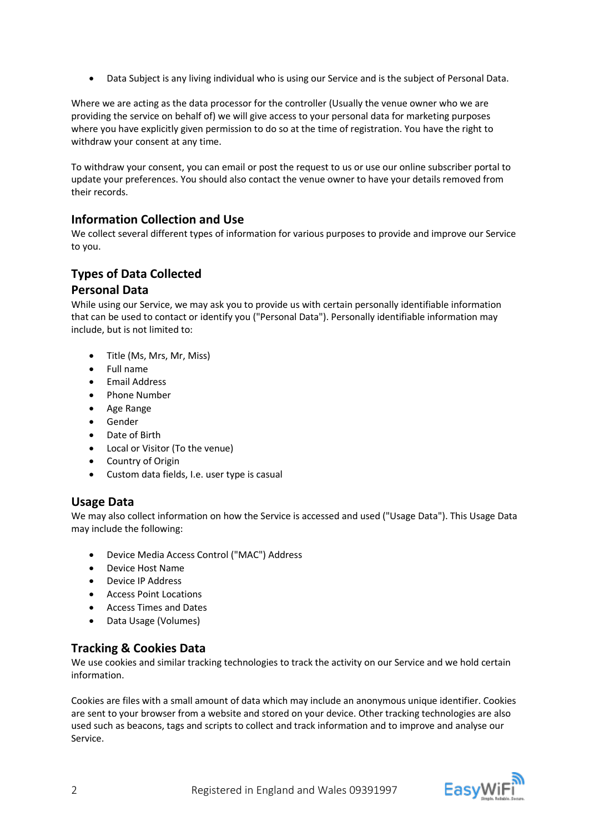• Data Subject is any living individual who is using our Service and is the subject of Personal Data.

Where we are acting as the data processor for the controller (Usually the venue owner who we are providing the service on behalf of) we will give access to your personal data for marketing purposes where you have explicitly given permission to do so at the time of registration. You have the right to withdraw your consent at any time.

To withdraw your consent, you can email or post the request to us or use our online subscriber portal to update your preferences. You should also contact the venue owner to have your details removed from their records.

### **Information Collection and Use**

We collect several different types of information for various purposes to provide and improve our Service to you.

# **Types of Data Collected**

#### **Personal Data**

While using our Service, we may ask you to provide us with certain personally identifiable information that can be used to contact or identify you ("Personal Data"). Personally identifiable information may include, but is not limited to:

- Title (Ms, Mrs, Mr, Miss)
- Full name
- Email Address
- Phone Number
- Age Range
- Gender
- Date of Birth
- Local or Visitor (To the venue)
- Country of Origin
- Custom data fields, I.e. user type is casual

#### **Usage Data**

We may also collect information on how the Service is accessed and used ("Usage Data"). This Usage Data may include the following:

- Device Media Access Control ("MAC") Address
- Device Host Name
- Device IP Address
- Access Point Locations
- Access Times and Dates
- Data Usage (Volumes)

# **Tracking & Cookies Data**

We use cookies and similar tracking technologies to track the activity on our Service and we hold certain information.

Cookies are files with a small amount of data which may include an anonymous unique identifier. Cookies are sent to your browser from a website and stored on your device. Other tracking technologies are also used such as beacons, tags and scripts to collect and track information and to improve and analyse our Service.

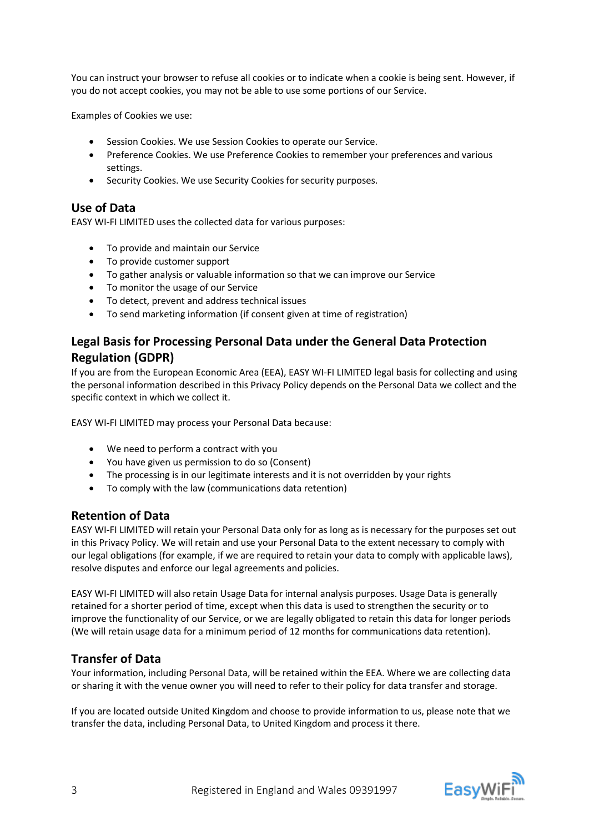You can instruct your browser to refuse all cookies or to indicate when a cookie is being sent. However, if you do not accept cookies, you may not be able to use some portions of our Service.

Examples of Cookies we use:

- Session Cookies. We use Session Cookies to operate our Service.
- Preference Cookies. We use Preference Cookies to remember your preferences and various settings.
- Security Cookies. We use Security Cookies for security purposes.

#### **Use of Data**

EASY WI-FI LIMITED uses the collected data for various purposes:

- To provide and maintain our Service
- To provide customer support
- To gather analysis or valuable information so that we can improve our Service
- To monitor the usage of our Service
- To detect, prevent and address technical issues
- To send marketing information (if consent given at time of registration)

# **Legal Basis for Processing Personal Data under the General Data Protection Regulation (GDPR)**

If you are from the European Economic Area (EEA), EASY WI-FI LIMITED legal basis for collecting and using the personal information described in this Privacy Policy depends on the Personal Data we collect and the specific context in which we collect it.

EASY WI-FI LIMITED may process your Personal Data because:

- We need to perform a contract with you
- You have given us permission to do so (Consent)
- The processing is in our legitimate interests and it is not overridden by your rights
- To comply with the law (communications data retention)

#### **Retention of Data**

EASY WI-FI LIMITED will retain your Personal Data only for as long as is necessary for the purposes set out in this Privacy Policy. We will retain and use your Personal Data to the extent necessary to comply with our legal obligations (for example, if we are required to retain your data to comply with applicable laws), resolve disputes and enforce our legal agreements and policies.

EASY WI-FI LIMITED will also retain Usage Data for internal analysis purposes. Usage Data is generally retained for a shorter period of time, except when this data is used to strengthen the security or to improve the functionality of our Service, or we are legally obligated to retain this data for longer periods (We will retain usage data for a minimum period of 12 months for communications data retention).

#### **Transfer of Data**

Your information, including Personal Data, will be retained within the EEA. Where we are collecting data or sharing it with the venue owner you will need to refer to their policy for data transfer and storage.

If you are located outside United Kingdom and choose to provide information to us, please note that we transfer the data, including Personal Data, to United Kingdom and process it there.

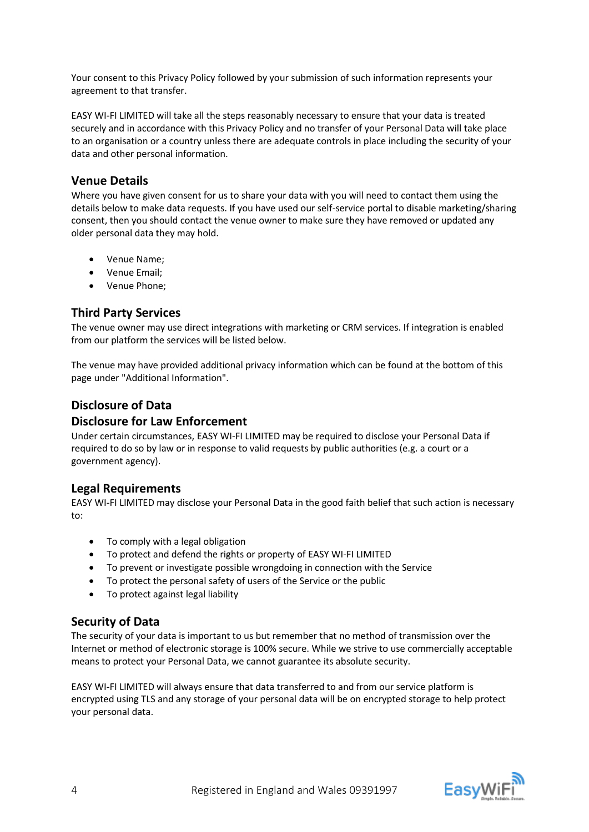Your consent to this Privacy Policy followed by your submission of such information represents your agreement to that transfer.

EASY WI-FI LIMITED will take all the steps reasonably necessary to ensure that your data is treated securely and in accordance with this Privacy Policy and no transfer of your Personal Data will take place to an organisation or a country unless there are adequate controls in place including the security of your data and other personal information.

#### **Venue Details**

Where you have given consent for us to share your data with you will need to contact them using the details below to make data requests. If you have used our self-service portal to disable marketing/sharing consent, then you should contact the venue owner to make sure they have removed or updated any older personal data they may hold.

- Venue Name;
- Venue Email;
- Venue Phone;

#### **Third Party Services**

The venue owner may use direct integrations with marketing or CRM services. If integration is enabled from our platform the services will be listed below.

The venue may have provided additional privacy information which can be found at the bottom of this page under "Additional Information".

#### **Disclosure of Data**

#### **Disclosure for Law Enforcement**

Under certain circumstances, EASY WI-FI LIMITED may be required to disclose your Personal Data if required to do so by law or in response to valid requests by public authorities (e.g. a court or a government agency).

#### **Legal Requirements**

EASY WI-FI LIMITED may disclose your Personal Data in the good faith belief that such action is necessary to:

- To comply with a legal obligation
- To protect and defend the rights or property of EASY WI-FI LIMITED
- To prevent or investigate possible wrongdoing in connection with the Service
- To protect the personal safety of users of the Service or the public
- To protect against legal liability

#### **Security of Data**

The security of your data is important to us but remember that no method of transmission over the Internet or method of electronic storage is 100% secure. While we strive to use commercially acceptable means to protect your Personal Data, we cannot guarantee its absolute security.

EASY WI-FI LIMITED will always ensure that data transferred to and from our service platform is encrypted using TLS and any storage of your personal data will be on encrypted storage to help protect your personal data.

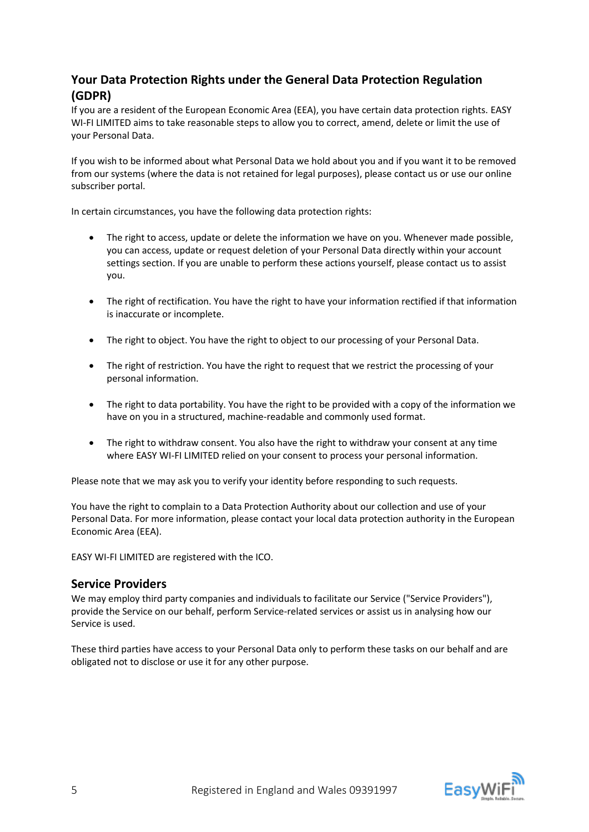# **Your Data Protection Rights under the General Data Protection Regulation (GDPR)**

If you are a resident of the European Economic Area (EEA), you have certain data protection rights. EASY WI-FI LIMITED aims to take reasonable steps to allow you to correct, amend, delete or limit the use of your Personal Data.

If you wish to be informed about what Personal Data we hold about you and if you want it to be removed from our systems (where the data is not retained for legal purposes), please contact us or use our online subscriber portal.

In certain circumstances, you have the following data protection rights:

- The right to access, update or delete the information we have on you. Whenever made possible, you can access, update or request deletion of your Personal Data directly within your account settings section. If you are unable to perform these actions yourself, please contact us to assist you.
- The right of rectification. You have the right to have your information rectified if that information is inaccurate or incomplete.
- The right to object. You have the right to object to our processing of your Personal Data.
- The right of restriction. You have the right to request that we restrict the processing of your personal information.
- The right to data portability. You have the right to be provided with a copy of the information we have on you in a structured, machine-readable and commonly used format.
- The right to withdraw consent. You also have the right to withdraw your consent at any time where EASY WI-FI LIMITED relied on your consent to process your personal information.

Please note that we may ask you to verify your identity before responding to such requests.

You have the right to complain to a Data Protection Authority about our collection and use of your Personal Data. For more information, please contact your local data protection authority in the European Economic Area (EEA).

EASY WI-FI LIMITED are registered with the ICO.

#### **Service Providers**

We may employ third party companies and individuals to facilitate our Service ("Service Providers"), provide the Service on our behalf, perform Service-related services or assist us in analysing how our Service is used.

These third parties have access to your Personal Data only to perform these tasks on our behalf and are obligated not to disclose or use it for any other purpose.